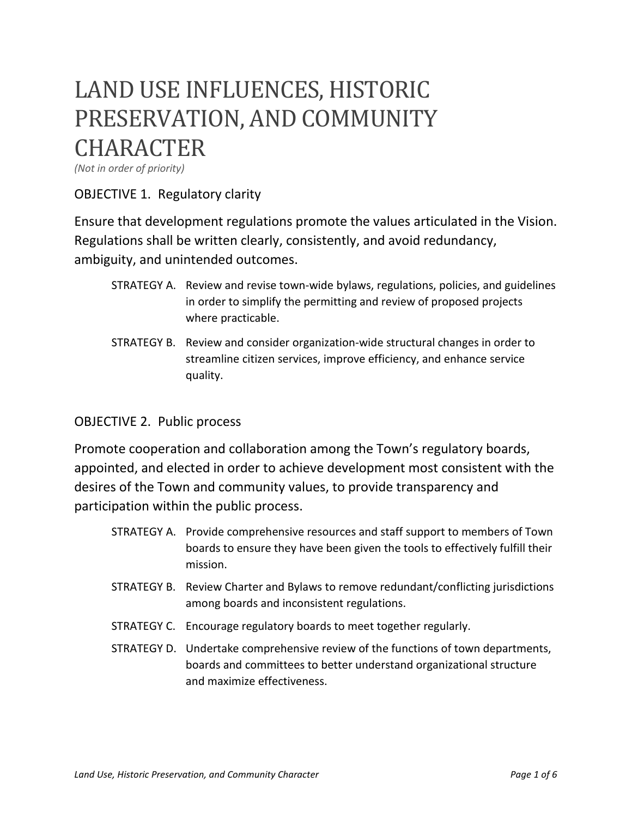# LAND USE INFLUENCES, HISTORIC PRESERVATION, AND COMMUNITY **CHARACTER**

*(Not in order of priority)* 

## OBJECTIVE 1. Regulatory clarity

Ensure that development regulations promote the values articulated in the Vision. Regulations shall be written clearly, consistently, and avoid redundancy, ambiguity, and unintended outcomes.

- STRATEGY A. Review and revise town-wide bylaws, regulations, policies, and guidelines in order to simplify the permitting and review of proposed projects where practicable.
- STRATEGY B. Review and consider organization-wide structural changes in order to streamline citizen services, improve efficiency, and enhance service quality.

#### OBJECTIVE 2. Public process

Promote cooperation and collaboration among the Town's regulatory boards, appointed, and elected in order to achieve development most consistent with the desires of the Town and community values, to provide transparency and participation within the public process.

- STRATEGY A. Provide comprehensive resources and staff support to members of Town boards to ensure they have been given the tools to effectively fulfill their mission.
- STRATEGY B. Review Charter and Bylaws to remove redundant/conflicting jurisdictions among boards and inconsistent regulations.
- STRATEGY C. Encourage regulatory boards to meet together regularly.
- STRATEGY D. Undertake comprehensive review of the functions of town departments, boards and committees to better understand organizational structure and maximize effectiveness.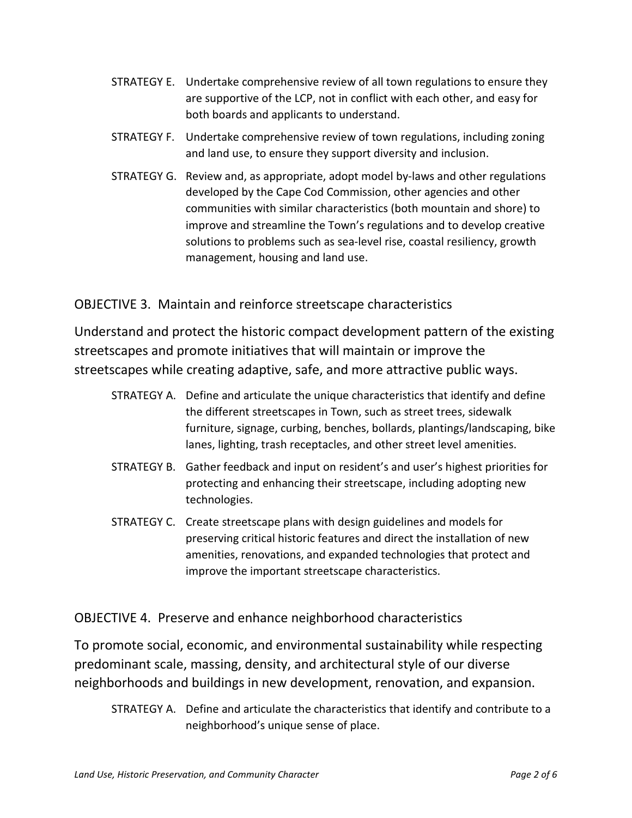- STRATEGY E. Undertake comprehensive review of all town regulations to ensure they are supportive of the LCP, not in conflict with each other, and easy for both boards and applicants to understand.
- STRATEGY F. Undertake comprehensive review of town regulations, including zoning and land use, to ensure they support diversity and inclusion.
- STRATEGY G. Review and, as appropriate, adopt model by-laws and other regulations developed by the Cape Cod Commission, other agencies and other communities with similar characteristics (both mountain and shore) to improve and streamline the Town's regulations and to develop creative solutions to problems such as sea-level rise, coastal resiliency, growth management, housing and land use.

## OBJECTIVE 3. Maintain and reinforce streetscape characteristics

Understand and protect the historic compact development pattern of the existing streetscapes and promote initiatives that will maintain or improve the streetscapes while creating adaptive, safe, and more attractive public ways.

- STRATEGY A. Define and articulate the unique characteristics that identify and define the different streetscapes in Town, such as street trees, sidewalk furniture, signage, curbing, benches, bollards, plantings/landscaping, bike lanes, lighting, trash receptacles, and other street level amenities.
- STRATEGY B. Gather feedback and input on resident's and user's highest priorities for protecting and enhancing their streetscape, including adopting new technologies.
- STRATEGY C. Create streetscape plans with design guidelines and models for preserving critical historic features and direct the installation of new amenities, renovations, and expanded technologies that protect and improve the important streetscape characteristics.

## OBJECTIVE 4. Preserve and enhance neighborhood characteristics

To promote social, economic, and environmental sustainability while respecting predominant scale, massing, density, and architectural style of our diverse neighborhoods and buildings in new development, renovation, and expansion.

STRATEGY A. Define and articulate the characteristics that identify and contribute to a neighborhood's unique sense of place.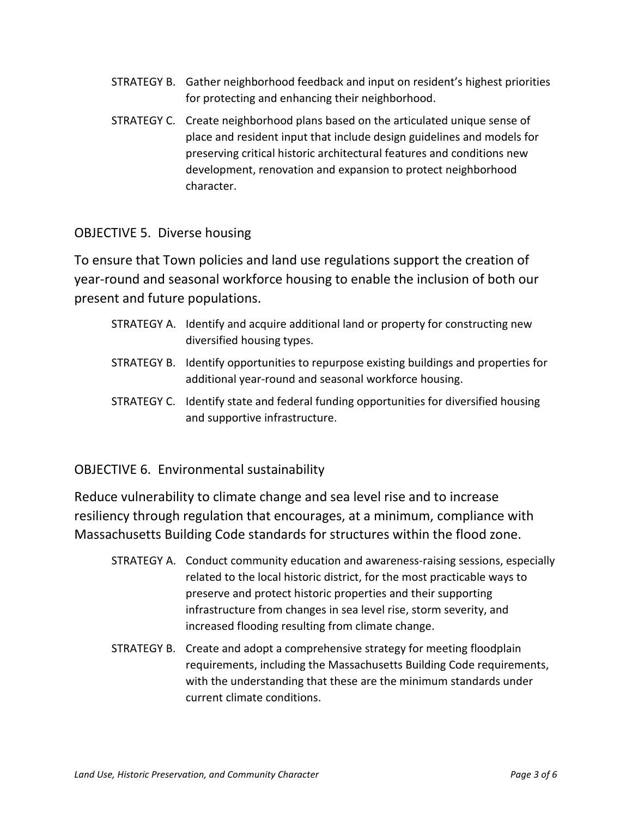- STRATEGY B. Gather neighborhood feedback and input on resident's highest priorities for protecting and enhancing their neighborhood.
- STRATEGY C. Create neighborhood plans based on the articulated unique sense of place and resident input that include design guidelines and models for preserving critical historic architectural features and conditions new development, renovation and expansion to protect neighborhood character.

## OBJECTIVE 5. Diverse housing

To ensure that Town policies and land use regulations support the creation of year-round and seasonal workforce housing to enable the inclusion of both our present and future populations.

- STRATEGY A. Identify and acquire additional land or property for constructing new diversified housing types.
- STRATEGY B. Identify opportunities to repurpose existing buildings and properties for additional year-round and seasonal workforce housing.
- STRATEGY C. Identify state and federal funding opportunities for diversified housing and supportive infrastructure.

### OBJECTIVE 6. Environmental sustainability

Reduce vulnerability to climate change and sea level rise and to increase resiliency through regulation that encourages, at a minimum, compliance with Massachusetts Building Code standards for structures within the flood zone.

- STRATEGY A. Conduct community education and awareness-raising sessions, especially related to the local historic district, for the most practicable ways to preserve and protect historic properties and their supporting infrastructure from changes in sea level rise, storm severity, and increased flooding resulting from climate change.
- STRATEGY B. Create and adopt a comprehensive strategy for meeting floodplain requirements, including the Massachusetts Building Code requirements, with the understanding that these are the minimum standards under current climate conditions.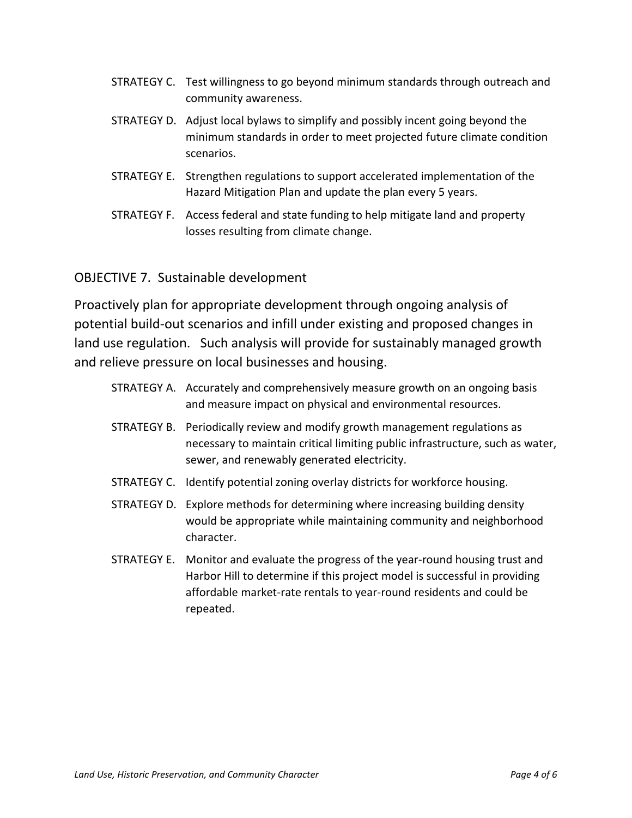- STRATEGY C. Test willingness to go beyond minimum standards through outreach and community awareness.
- STRATEGY D. Adjust local bylaws to simplify and possibly incent going beyond the minimum standards in order to meet projected future climate condition scenarios.
- STRATEGY E. Strengthen regulations to support accelerated implementation of the Hazard Mitigation Plan and update the plan every 5 years.
- STRATEGY F. Access federal and state funding to help mitigate land and property losses resulting from climate change.

## OBJECTIVE 7. Sustainable development

Proactively plan for appropriate development through ongoing analysis of potential build-out scenarios and infill under existing and proposed changes in land use regulation. Such analysis will provide for sustainably managed growth and relieve pressure on local businesses and housing.

- STRATEGY A. Accurately and comprehensively measure growth on an ongoing basis and measure impact on physical and environmental resources.
- STRATEGY B. Periodically review and modify growth management regulations as necessary to maintain critical limiting public infrastructure, such as water, sewer, and renewably generated electricity.
- STRATEGY C. Identify potential zoning overlay districts for workforce housing.
- STRATEGY D. Explore methods for determining where increasing building density would be appropriate while maintaining community and neighborhood character.
- STRATEGY E. Monitor and evaluate the progress of the year-round housing trust and Harbor Hill to determine if this project model is successful in providing affordable market-rate rentals to year-round residents and could be repeated.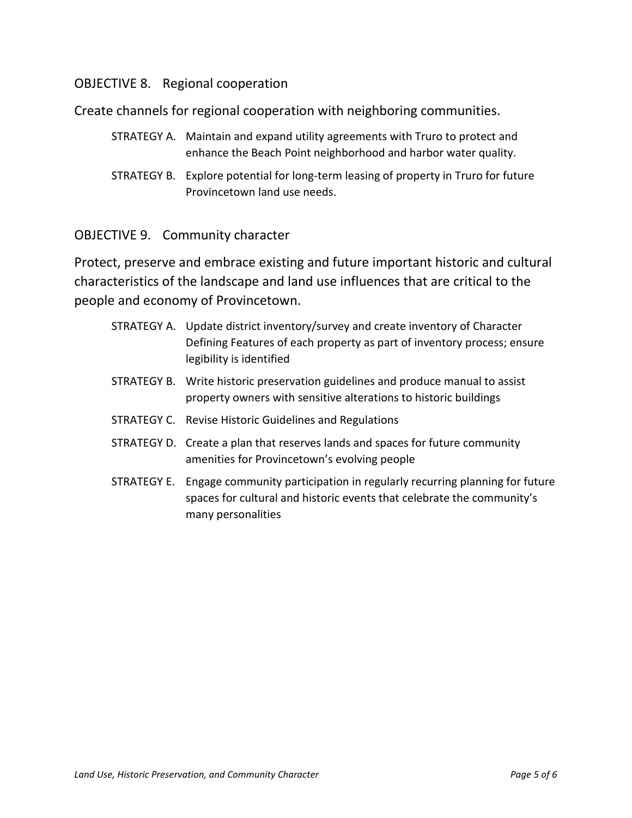### OBJECTIVE 8. Regional cooperation

Create channels for regional cooperation with neighboring communities.

- STRATEGY A. Maintain and expand utility agreements with Truro to protect and enhance the Beach Point neighborhood and harbor water quality.
- STRATEGY B. Explore potential for long-term leasing of property in Truro for future Provincetown land use needs.

#### OBJECTIVE 9. Community character

Protect, preserve and embrace existing and future important historic and cultural characteristics of the landscape and land use influences that are critical to the people and economy of Provincetown.

- STRATEGY A. Update district inventory/survey and create inventory of Character Defining Features of each property as part of inventory process; ensure legibility is identified
- STRATEGY B. Write historic preservation guidelines and produce manual to assist property owners with sensitive alterations to historic buildings
- STRATEGY C. Revise Historic Guidelines and Regulations
- STRATEGY D. Create a plan that reserves lands and spaces for future community amenities for Provincetown's evolving people
- STRATEGY E. Engage community participation in regularly recurring planning for future spaces for cultural and historic events that celebrate the community's many personalities